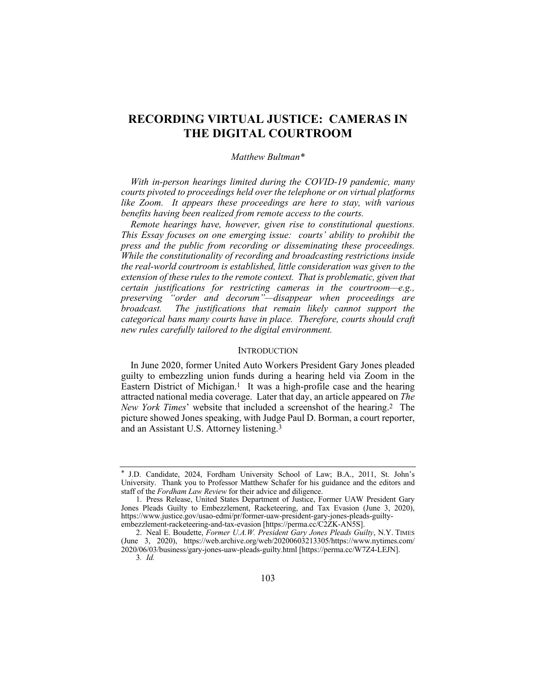# **RECORDING VIRTUAL JUSTICE: CAMERAS IN THE DIGITAL COURTROOM**

## *Matthew Bultman\**

*With in-person hearings limited during the COVID-19 pandemic, many courts pivoted to proceedings held over the telephone or on virtual platforms like Zoom. It appears these proceedings are here to stay, with various benefits having been realized from remote access to the courts.*

*Remote hearings have, however, given rise to constitutional questions. This Essay focuses on one emerging issue: courts' ability to prohibit the press and the public from recording or disseminating these proceedings. While the constitutionality of recording and broadcasting restrictions inside the real-world courtroom is established, little consideration was given to the extension of these rules to the remote context. That is problematic, given that certain justifications for restricting cameras in the courtroom—e.g., preserving "order and decorum"—disappear when proceedings are broadcast. The justifications that remain likely cannot support the categorical bans many courts have in place. Therefore, courts should craft new rules carefully tailored to the digital environment.*

## **INTRODUCTION**

In June 2020, former United Auto Workers President Gary Jones pleaded guilty to embezzling union funds during a hearing held via Zoom in the Eastern District of Michigan.<sup>1</sup> It was a high-profile case and the hearing attracted national media coverage. Later that day, an article appeared on *The New York Times*' website that included a screenshot of the hearing.2 The picture showed Jones speaking, with Judge Paul D. Borman, a court reporter, and an Assistant U.S. Attorney listening.3

<sup>\*</sup> J.D. Candidate, 2024, Fordham University School of Law; B.A., 2011, St. John's University. Thank you to Professor Matthew Schafer for his guidance and the editors and staff of the *Fordham Law Review* for their advice and diligence.

<sup>1.</sup> Press Release, United States Department of Justice, Former UAW President Gary Jones Pleads Guilty to Embezzlement, Racketeering, and Tax Evasion (June 3, 2020), https://www.justice.gov/usao-edmi/pr/former-uaw-president-gary-jones-pleads-guiltyembezzlement-racketeering-and-tax-evasion [https://perma.cc/C2ZK-AN5S].

<sup>2.</sup> Neal E. Boudette, *Former U.A.W. President Gary Jones Pleads Guilty*, N.Y. TIMES (June 3, 2020), https://web.archive.org/web/20200603213305/https://www.nytimes.com/ 2020/06/03/business/gary-jones-uaw-pleads-guilty.html [https://perma.cc/W7Z4-LEJN]. 3*. Id.*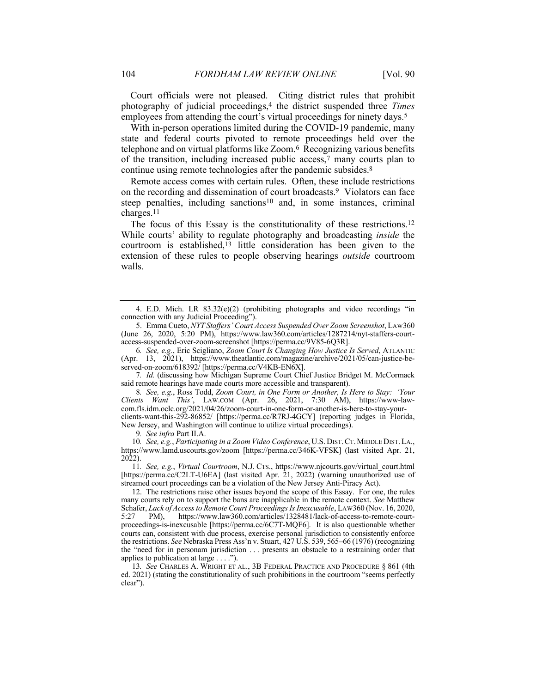Court officials were not pleased. Citing district rules that prohibit photography of judicial proceedings,4 the district suspended three *Times* employees from attending the court's virtual proceedings for ninety days.<sup>5</sup>

With in-person operations limited during the COVID-19 pandemic, many state and federal courts pivoted to remote proceedings held over the telephone and on virtual platforms like Zoom.6 Recognizing various benefits of the transition, including increased public access,7 many courts plan to continue using remote technologies after the pandemic subsides.<sup>8</sup>

Remote access comes with certain rules. Often, these include restrictions on the recording and dissemination of court broadcasts.9 Violators can face steep penalties, including sanctions<sup>10</sup> and, in some instances, criminal charges.11

The focus of this Essay is the constitutionality of these restrictions.12 While courts' ability to regulate photography and broadcasting *inside* the courtroom is established,13 little consideration has been given to the extension of these rules to people observing hearings *outside* courtroom walls.

7*. Id.* (discussing how Michigan Supreme Court Chief Justice Bridget M. McCormack said remote hearings have made courts more accessible and transparent).

8*. See, e.g.*, Ross Todd, *Zoom Court, in One Form or Another, Is Here to Stay: 'Your Clients Want This'*, LAW.COM (Apr. 26, 2021, 7:30 AM), https://www-lawcom.fls.idm.oclc.org/2021/04/26/zoom-court-in-one-form-or-another-is-here-to-stay-yourclients-want-this-292-86852/ [https://perma.cc/R7RJ-4GCY] (reporting judges in Florida, New Jersey, and Washington will continue to utilize virtual proceedings).

9*. See infra* Part II.A.

10*. See, e.g.*, *Participating in a Zoom Video Conference*, U.S. DIST.CT.MIDDLE DIST.LA., https://www.lamd.uscourts.gov/zoom [https://perma.cc/346K-VFSK] (last visited Apr. 21, 2022).

11*. See, e.g.*, *Virtual Courtroom*, N.J. CTS., https://www.njcourts.gov/virtual\_court.html [https://perma.cc/C2LT-U6EA] (last visited Apr. 21, 2022) (warning unauthorized use of streamed court proceedings can be a violation of the New Jersey Anti-Piracy Act).

12. The restrictions raise other issues beyond the scope of this Essay. For one, the rules many courts rely on to support the bans are inapplicable in the remote context. *See* Matthew Schafer, *Lack of Access to Remote Court Proceedings Is Inexcusable*, LAW360 (Nov. 16, 2020, 5:27 PM), https://www.law360.com/articles/1328481/lack-of-access-to-remote-courtproceedings-is-inexcusable [https://perma.cc/6C7T-MQF6]. It is also questionable whether courts can, consistent with due process, exercise personal jurisdiction to consistently enforce the restrictions. *See* Nebraska Press Ass'n v. Stuart, 427 U.S. 539, 565–66 (1976) (recognizing the "need for in personam jurisdiction . . . presents an obstacle to a restraining order that applies to publication at large . . . .").

13*. See* CHARLES A. WRIGHT ET AL., 3B FEDERAL PRACTICE AND PROCEDURE § 861 (4th ed. 2021) (stating the constitutionality of such prohibitions in the courtroom "seems perfectly clear").

<sup>4.</sup> E.D. Mich. LR  $83.32(e)(2)$  (prohibiting photographs and video recordings "in connection with any Judicial Proceeding").

<sup>5.</sup> Emma Cueto, *NYT Staffers' Court Access Suspended Over Zoom Screenshot*, LAW360 (June 26, 2020, 5:20 PM), https://www.law360.com/articles/1287214/nyt-staffers-courtaccess-suspended-over-zoom-screenshot [https://perma.cc/9V85-6Q3R].

<sup>6</sup>*. See, e.g.*, Eric Scigliano, *Zoom Court Is Changing How Justice Is Served*, ATLANTIC (Apr. 13, 2021), https://www.theatlantic.com/magazine/archive/2021/05/can-justice-beserved-on-zoom/618392/ [https://perma.cc/V4KB-EN6X].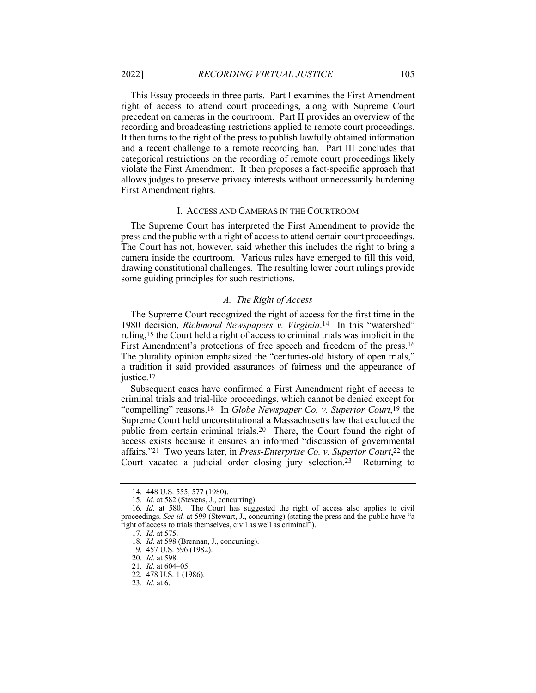This Essay proceeds in three parts. Part I examines the First Amendment right of access to attend court proceedings, along with Supreme Court precedent on cameras in the courtroom. Part II provides an overview of the recording and broadcasting restrictions applied to remote court proceedings. It then turns to the right of the press to publish lawfully obtained information and a recent challenge to a remote recording ban. Part III concludes that categorical restrictions on the recording of remote court proceedings likely violate the First Amendment. It then proposes a fact-specific approach that allows judges to preserve privacy interests without unnecessarily burdening First Amendment rights.

#### I. ACCESS AND CAMERAS IN THE COURTROOM

The Supreme Court has interpreted the First Amendment to provide the press and the public with a right of access to attend certain court proceedings. The Court has not, however, said whether this includes the right to bring a camera inside the courtroom. Various rules have emerged to fill this void, drawing constitutional challenges. The resulting lower court rulings provide some guiding principles for such restrictions.

## *A. The Right of Access*

The Supreme Court recognized the right of access for the first time in the 1980 decision, *Richmond Newspapers v. Virginia*.14 In this "watershed" ruling,15 the Court held a right of access to criminal trials was implicit in the First Amendment's protections of free speech and freedom of the press.16 The plurality opinion emphasized the "centuries-old history of open trials," a tradition it said provided assurances of fairness and the appearance of justice.<sup>17</sup>

Subsequent cases have confirmed a First Amendment right of access to criminal trials and trial-like proceedings, which cannot be denied except for "compelling" reasons.18 In *Globe Newspaper Co. v. Superior Court*,19 the Supreme Court held unconstitutional a Massachusetts law that excluded the public from certain criminal trials.20 There, the Court found the right of access exists because it ensures an informed "discussion of governmental affairs."21 Two years later, in *Press-Enterprise Co. v. Superior Court*,22 the Court vacated a judicial order closing jury selection.23 Returning to

<sup>14.</sup> 448 U.S. 555, 577 (1980).

<sup>15</sup>*. Id.* at 582 (Stevens, J., concurring).

<sup>16</sup>*. Id.* at 580. The Court has suggested the right of access also applies to civil proceedings. *See id.* at 599 (Stewart, J., concurring) (stating the press and the public have "a right of access to trials themselves, civil as well as criminal").

<sup>17</sup>*. Id.* at 575.

<sup>18</sup>*. Id.* at 598 (Brennan, J., concurring).

<sup>19.</sup> 457 U.S. 596 (1982).

<sup>20</sup>*. Id.* at 598.

<sup>21</sup>*. Id.* at 604–05.

<sup>22.</sup> 478 U.S. 1 (1986).

<sup>23</sup>*. Id.* at 6.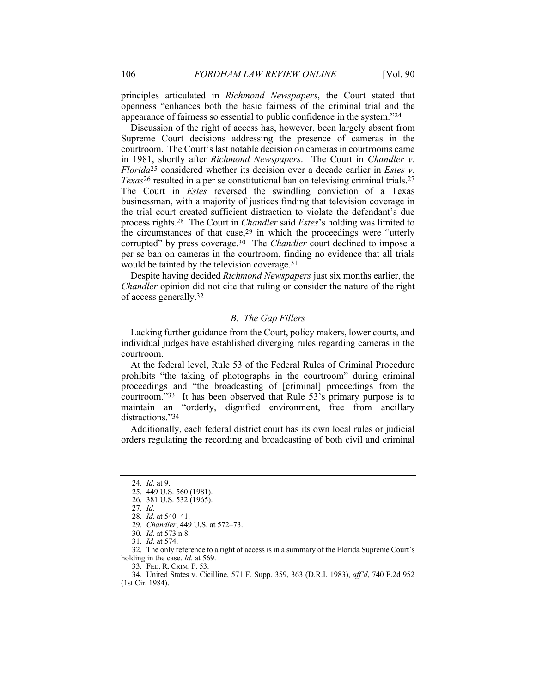principles articulated in *Richmond Newspapers*, the Court stated that openness "enhances both the basic fairness of the criminal trial and the appearance of fairness so essential to public confidence in the system."24

Discussion of the right of access has, however, been largely absent from Supreme Court decisions addressing the presence of cameras in the courtroom. The Court's last notable decision on cameras in courtrooms came in 1981, shortly after *Richmond Newspapers*. The Court in *Chandler v. Florida*25 considered whether its decision over a decade earlier in *Estes v. Texas*26 resulted in a per se constitutional ban on televising criminal trials.27 The Court in *Estes* reversed the swindling conviction of a Texas businessman, with a majority of justices finding that television coverage in the trial court created sufficient distraction to violate the defendant's due process rights.28 The Court in *Chandler* said *Estes*'s holding was limited to the circumstances of that case,29 in which the proceedings were "utterly corrupted" by press coverage.30 The *Chandler* court declined to impose a per se ban on cameras in the courtroom, finding no evidence that all trials would be tainted by the television coverage.31

Despite having decided *Richmond Newspapers* just six months earlier, the *Chandler* opinion did not cite that ruling or consider the nature of the right of access generally.32

## *B. The Gap Fillers*

Lacking further guidance from the Court, policy makers, lower courts, and individual judges have established diverging rules regarding cameras in the courtroom.

At the federal level, Rule 53 of the Federal Rules of Criminal Procedure prohibits "the taking of photographs in the courtroom" during criminal proceedings and "the broadcasting of [criminal] proceedings from the courtroom."33 It has been observed that Rule 53's primary purpose is to maintain an "orderly, dignified environment, free from ancillary distractions."34

Additionally, each federal district court has its own local rules or judicial orders regulating the recording and broadcasting of both civil and criminal

32. The only reference to a right of access is in a summary of the Florida Supreme Court's holding in the case. *Id.* at 569.

33. FED. R. CRIM. P. 53.

<sup>24</sup>*. Id.* at 9.

<sup>25.</sup> 449 U.S. 560 (1981).

<sup>26.</sup> 381 U.S. 532 (1965).

<sup>27.</sup> *Id.*

<sup>28</sup>*. Id.* at 540–41.

<sup>29</sup>*. Chandler*, 449 U.S. at 572–73.

<sup>30</sup>*. Id.* at 573 n.8.

<sup>31</sup>*. Id.* at 574.

<sup>34.</sup> United States v. Cicilline, 571 F. Supp. 359, 363 (D.R.I. 1983), *aff'd*, 740 F.2d 952 (1st Cir. 1984).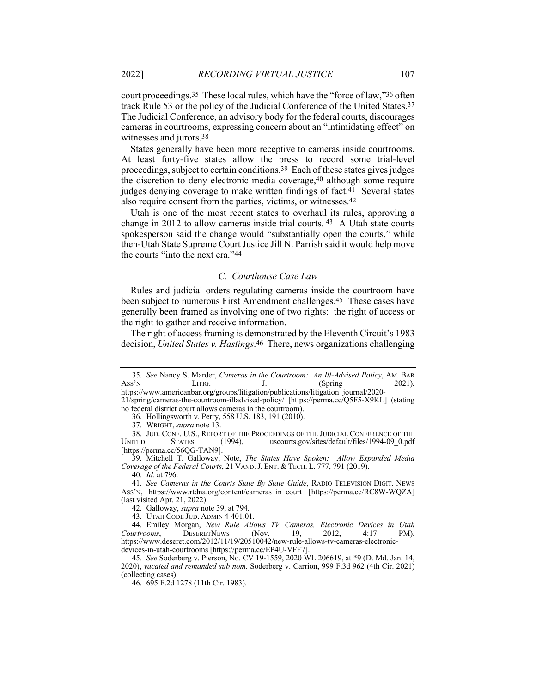court proceedings.35 These local rules, which have the "force of law,"36 often track Rule 53 or the policy of the Judicial Conference of the United States.37 The Judicial Conference, an advisory body for the federal courts, discourages cameras in courtrooms, expressing concern about an "intimidating effect" on witnesses and jurors.38

States generally have been more receptive to cameras inside courtrooms. At least forty-five states allow the press to record some trial-level proceedings, subject to certain conditions.39 Each of these states gives judges the discretion to deny electronic media coverage,40 although some require judges denying coverage to make written findings of fact.<sup>41</sup> Several states also require consent from the parties, victims, or witnesses.42

Utah is one of the most recent states to overhaul its rules, approving a change in 2012 to allow cameras inside trial courts.  $43$  A Utah state courts spokesperson said the change would "substantially open the courts," while then-Utah State Supreme Court Justice Jill N. Parrish said it would help move the courts "into the next era."44

## *C. Courthouse Case Law*

Rules and judicial orders regulating cameras inside the courtroom have been subject to numerous First Amendment challenges.45 These cases have generally been framed as involving one of two rights: the right of access or the right to gather and receive information.

The right of access framing is demonstrated by the Eleventh Circuit's 1983 decision, *United States v. Hastings*.46 There, news organizations challenging

21/spring/cameras-the-courtroom-illadvised-policy/ [https://perma.cc/Q5F5-X9KL] (stating no federal district court allows cameras in the courtroom).

<sup>35</sup>*. See* Nancy S. Marder, *Cameras in the Courtroom: An Ill-Advised Policy*, AM. BAR Ass'N LITIG. J. (Spring 2021), https://www.americanbar.org/groups/litigation/publications/litigation\_journal/2020-

<sup>36.</sup> Hollingsworth v. Perry, 558 U.S. 183, 191 (2010).

<sup>37.</sup> WRIGHT,*supra* note 13.

<sup>38.</sup> JUD. CONF. U.S., REPORT OF THE PROCEEDINGS OF THE JUDICIAL CONFERENCE OF THE UNITED STATES (1994), uscourts.gov/sites/default/files/1994-09 0.pdf uscourts.gov/sites/default/files/1994-09\_0.pdf [https://perma.cc/56QG-TAN9].

<sup>39.</sup> Mitchell T. Galloway, Note, *The States Have Spoken: Allow Expanded Media Coverage of the Federal Courts*, 21 VAND.J. ENT. & TECH. L. 777, 791 (2019).

<sup>40</sup>*. Id.* at 796.

<sup>41</sup>*. See Cameras in the Courts State By State Guide*, RADIO TELEVISION DIGIT. NEWS ASS'N, https://www.rtdna.org/content/cameras\_in\_court [https://perma.cc/RC8W-WQZA] (last visited Apr. 21, 2022).

<sup>42.</sup> Galloway, *supra* note 39, at 794.

<sup>43.</sup> UTAH CODE JUD. ADMIN 4-401.01.

<sup>44.</sup> Emiley Morgan, *New Rule Allows TV Cameras, Electronic Devices in Utah Courtrooms*, DESERETNEWS (Nov. 19, 2012, 4:17 PM), https://www.deseret.com/2012/11/19/20510042/new-rule-allows-tv-cameras-electronicdevices-in-utah-courtrooms [https://perma.cc/EP4U-VFF7].

<sup>45</sup>*. See* Soderberg v. Pierson, No. CV 19-1559, 2020 WL 206619, at \*9 (D. Md. Jan. 14, 2020), *vacated and remanded sub nom.* Soderberg v. Carrion, 999 F.3d 962 (4th Cir. 2021) (collecting cases).

<sup>46.</sup> 695 F.2d 1278 (11th Cir. 1983).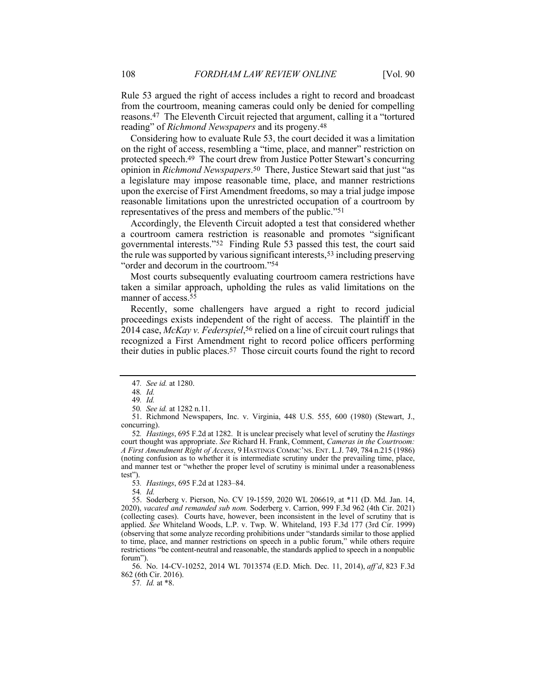Rule 53 argued the right of access includes a right to record and broadcast from the courtroom, meaning cameras could only be denied for compelling reasons.47 The Eleventh Circuit rejected that argument, calling it a "tortured reading" of *Richmond Newspapers* and its progeny.48

Considering how to evaluate Rule 53, the court decided it was a limitation on the right of access, resembling a "time, place, and manner" restriction on protected speech.49 The court drew from Justice Potter Stewart's concurring opinion in *Richmond Newspapers*.50 There, Justice Stewart said that just "as a legislature may impose reasonable time, place, and manner restrictions upon the exercise of First Amendment freedoms, so may a trial judge impose reasonable limitations upon the unrestricted occupation of a courtroom by representatives of the press and members of the public."51

Accordingly, the Eleventh Circuit adopted a test that considered whether a courtroom camera restriction is reasonable and promotes "significant governmental interests."52 Finding Rule 53 passed this test, the court said the rule was supported by various significant interests,53 including preserving "order and decorum in the courtroom."54

Most courts subsequently evaluating courtroom camera restrictions have taken a similar approach, upholding the rules as valid limitations on the manner of access.55

Recently, some challengers have argued a right to record judicial proceedings exists independent of the right of access. The plaintiff in the 2014 case, *McKay v. Federspiel*,56 relied on a line of circuit court rulings that recognized a First Amendment right to record police officers performing their duties in public places.57 Those circuit courts found the right to record

51. Richmond Newspapers, Inc. v. Virginia, 448 U.S. 555, 600 (1980) (Stewart, J., concurring).

52*. Hastings*, 695 F.2d at 1282. It is unclear precisely what level of scrutiny the *Hastings* court thought was appropriate. *See* Richard H. Frank, Comment, *Cameras in the Courtroom: A First Amendment Right of Access*, 9 HASTINGS COMMC'NS. ENT. L.J. 749, 784 n.215 (1986) (noting confusion as to whether it is intermediate scrutiny under the prevailing time, place, and manner test or "whether the proper level of scrutiny is minimal under a reasonableness test").

53*. Hastings*, 695 F.2d at 1283–84.

54*. Id.*

55. Soderberg v. Pierson, No. CV 19-1559, 2020 WL 206619, at \*11 (D. Md. Jan. 14, 2020), *vacated and remanded sub nom.* Soderberg v. Carrion, 999 F.3d 962 (4th Cir. 2021) (collecting cases). Courts have, however, been inconsistent in the level of scrutiny that is applied. *See* Whiteland Woods, L.P. v. Twp. W. Whiteland, 193 F.3d 177 (3rd Cir. 1999) (observing that some analyze recording prohibitions under "standards similar to those applied to time, place, and manner restrictions on speech in a public forum," while others require restrictions "be content-neutral and reasonable, the standards applied to speech in a nonpublic forum").

56. No. 14-CV-10252, 2014 WL 7013574 (E.D. Mich. Dec. 11, 2014), *aff'd*, 823 F.3d 862 (6th Cir. 2016).

57*. Id.* at \*8.

<sup>47</sup>*. See id.* at 1280.

<sup>48</sup>*. Id.*

<sup>49</sup>*. Id.*

<sup>50</sup>*. See id.* at 1282 n.11.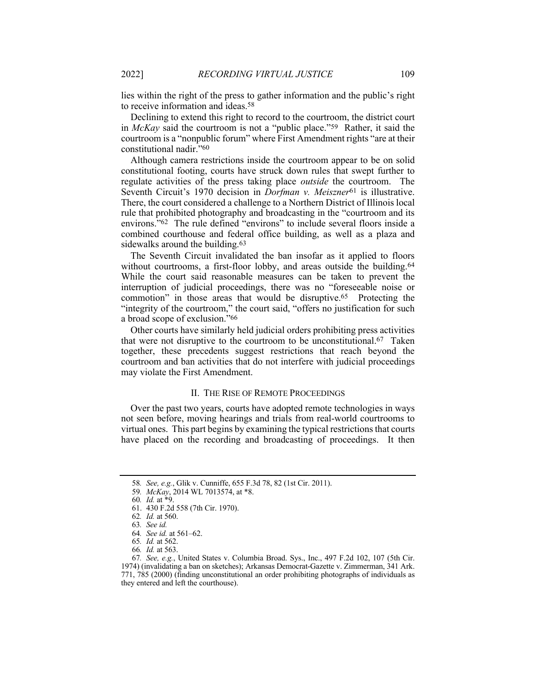lies within the right of the press to gather information and the public's right to receive information and ideas.58

Declining to extend this right to record to the courtroom, the district court in *McKay* said the courtroom is not a "public place."59 Rather, it said the courtroom is a "nonpublic forum" where First Amendment rights "are at their constitutional nadir."60

Although camera restrictions inside the courtroom appear to be on solid constitutional footing, courts have struck down rules that swept further to regulate activities of the press taking place *outside* the courtroom. The Seventh Circuit's 1970 decision in *Dorfman v. Meiszner*61 is illustrative. There, the court considered a challenge to a Northern District of Illinois local rule that prohibited photography and broadcasting in the "courtroom and its environs."62 The rule defined "environs" to include several floors inside a combined courthouse and federal office building, as well as a plaza and sidewalks around the building.<sup>63</sup>

The Seventh Circuit invalidated the ban insofar as it applied to floors without courtrooms, a first-floor lobby, and areas outside the building.<sup>64</sup> While the court said reasonable measures can be taken to prevent the interruption of judicial proceedings, there was no "foreseeable noise or commotion" in those areas that would be disruptive.65 Protecting the "integrity of the courtroom," the court said, "offers no justification for such a broad scope of exclusion."66

Other courts have similarly held judicial orders prohibiting press activities that were not disruptive to the courtroom to be unconstitutional.67 Taken together, these precedents suggest restrictions that reach beyond the courtroom and ban activities that do not interfere with judicial proceedings may violate the First Amendment.

## II. THE RISE OF REMOTE PROCEEDINGS

Over the past two years, courts have adopted remote technologies in ways not seen before, moving hearings and trials from real-world courtrooms to virtual ones. This part begins by examining the typical restrictions that courts have placed on the recording and broadcasting of proceedings. It then

<sup>58</sup>*. See, e.g.*, Glik v. Cunniffe, 655 F.3d 78, 82 (1st Cir. 2011).

<sup>59</sup>*. McKay*, 2014 WL 7013574, at \*8.

<sup>60</sup>*. Id.* at \*9.

<sup>61.</sup> 430 F.2d 558 (7th Cir. 1970).

<sup>62</sup>*. Id.* at 560.

<sup>63</sup>*. See id.*

<sup>64</sup>*. See id.* at 561–62.

<sup>65</sup>*. Id.* at 562.

<sup>66</sup>*. Id.* at 563.

<sup>67</sup>*. See, e.g.*, United States v. Columbia Broad. Sys., Inc., 497 F.2d 102, 107 (5th Cir. 1974) (invalidating a ban on sketches); Arkansas Democrat-Gazette v. Zimmerman, 341 Ark. 771, 785 (2000) (finding unconstitutional an order prohibiting photographs of individuals as they entered and left the courthouse).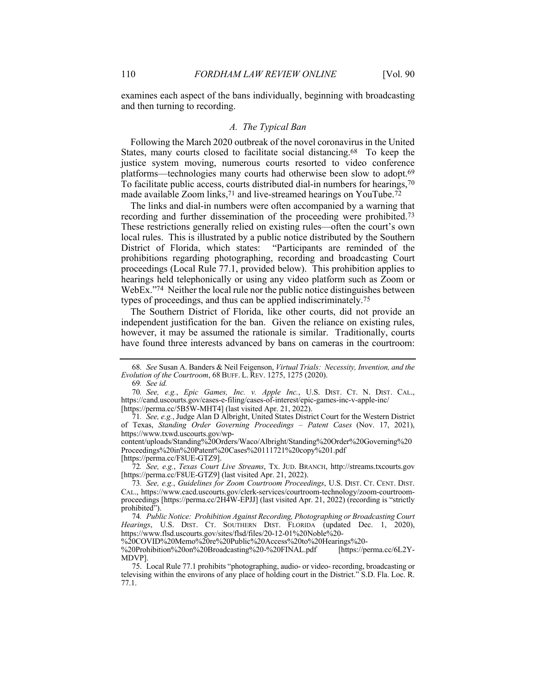examines each aspect of the bans individually, beginning with broadcasting and then turning to recording.

## *A. The Typical Ban*

Following the March 2020 outbreak of the novel coronavirus in the United States, many courts closed to facilitate social distancing.68 To keep the justice system moving, numerous courts resorted to video conference platforms—technologies many courts had otherwise been slow to adopt.69 To facilitate public access, courts distributed dial-in numbers for hearings,70 made available Zoom links,<sup>71</sup> and live-streamed hearings on YouTube.<sup>72</sup>

The links and dial-in numbers were often accompanied by a warning that recording and further dissemination of the proceeding were prohibited.73 These restrictions generally relied on existing rules—often the court's own local rules. This is illustrated by a public notice distributed by the Southern District of Florida, which states: "Participants are reminded of the prohibitions regarding photographing, recording and broadcasting Court proceedings (Local Rule 77.1, provided below). This prohibition applies to hearings held telephonically or using any video platform such as Zoom or WebEx."<sup>74</sup> Neither the local rule nor the public notice distinguishes between types of proceedings, and thus can be applied indiscriminately.75

The Southern District of Florida, like other courts, did not provide an independent justification for the ban. Given the reliance on existing rules, however, it may be assumed the rationale is similar. Traditionally, courts have found three interests advanced by bans on cameras in the courtroom:

[https://perma.cc/F8UE-GTZ9].

72*. See, e.g.*, *Texas Court Live Streams*, TX. JUD. BRANCH, http://streams.txcourts.gov [https://perma.cc/F8UE-GTZ9] (last visited Apr. 21, 2022).

74*. Public Notice: Prohibition Against Recording, Photographing or Broadcasting Court Hearings*, U.S. DIST. CT. SOUTHERN DIST. FLORIDA (updated Dec. 1, 2020), https://www.flsd.uscourts.gov/sites/flsd/files/20-12-01%20Noble%20-

%20COVID%20Memo%20re%20Public%20Access%20to%20Hearings%20-

%20Prohibition%20on%20Broadcasting%20-%20FINAL.pdf [https://perma.cc/6L2Y-MDVP].

<sup>68</sup>*. See* Susan A. Banders & Neil Feigenson, *Virtual Trials: Necessity, Invention, and the Evolution of the Courtroom*, 68 BUFF. L. REV. 1275, 1275 (2020).

<sup>69</sup>*. See id.*

<sup>70</sup>*. See, e.g.*, *Epic Games, Inc. v. Apple Inc.*, U.S. DIST. CT. N. DIST. CAL., https://cand.uscourts.gov/cases-e-filing/cases-of-interest/epic-games-inc-v-apple-inc/ [https://perma.cc/5B5W-MHT4] (last visited Apr. 21, 2022).

<sup>71</sup>*. See, e.g.*, Judge Alan D Albright, United States District Court for the Western District of Texas, *Standing Order Governing Proceedings – Patent Cases* (Nov. 17, 2021), https://www.txwd.uscourts.gov/wp-

content/uploads/Standing%20Orders/Waco/Albright/Standing%20Order%20Governing%20 Proceedings%20in%20Patent%20Cases%20111721%20copy%201.pdf

<sup>73</sup>*. See, e.g.*, *Guidelines for Zoom Courtroom Proceedings*, U.S. DIST. CT. CENT. DIST. CAL., https://www.cacd.uscourts.gov/clerk-services/courtroom-technology/zoom-courtroomproceedings [https://perma.cc/2H4W-EPJJ] (last visited Apr. 21, 2022) (recording is "strictly prohibited").

<sup>75.</sup> Local Rule 77.1 prohibits "photographing, audio- or video- recording, broadcasting or televising within the environs of any place of holding court in the District." S.D. Fla. Loc. R. 77.1.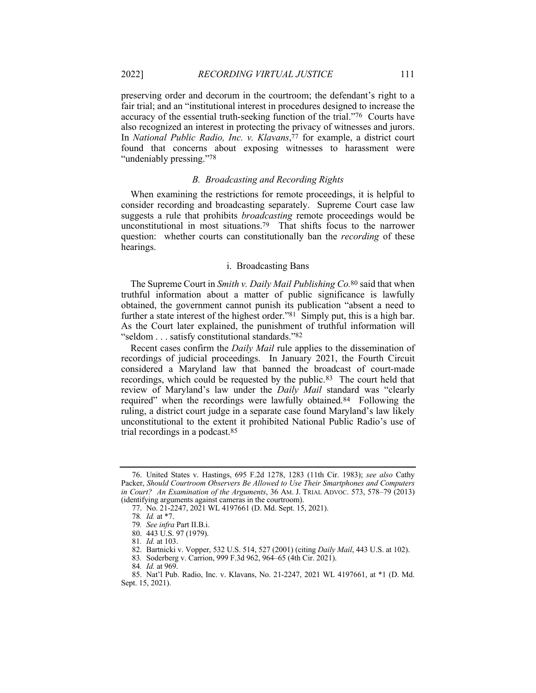preserving order and decorum in the courtroom; the defendant's right to a fair trial; and an "institutional interest in procedures designed to increase the accuracy of the essential truth-seeking function of the trial."76 Courts have also recognized an interest in protecting the privacy of witnesses and jurors. In *National Public Radio, Inc. v. Klavans*,  $\bar{7}$  for example, a district court found that concerns about exposing witnesses to harassment were "undeniably pressing."<sup>78</sup>

## *B. Broadcasting and Recording Rights*

When examining the restrictions for remote proceedings, it is helpful to consider recording and broadcasting separately. Supreme Court case law suggests a rule that prohibits *broadcasting* remote proceedings would be unconstitutional in most situations.79 That shifts focus to the narrower question: whether courts can constitutionally ban the *recording* of these hearings.

### i. Broadcasting Bans

The Supreme Court in *Smith v. Daily Mail Publishing Co.*80 said that when truthful information about a matter of public significance is lawfully obtained, the government cannot punish its publication "absent a need to further a state interest of the highest order." $81$  Simply put, this is a high bar. As the Court later explained, the punishment of truthful information will "seldom . . . satisfy constitutional standards."82

Recent cases confirm the *Daily Mail* rule applies to the dissemination of recordings of judicial proceedings. In January 2021, the Fourth Circuit considered a Maryland law that banned the broadcast of court-made recordings, which could be requested by the public.<sup>83</sup> The court held that review of Maryland's law under the *Daily Mail* standard was "clearly required" when the recordings were lawfully obtained.84 Following the ruling, a district court judge in a separate case found Maryland's law likely unconstitutional to the extent it prohibited National Public Radio's use of trial recordings in a podcast.85

<sup>76.</sup> United States v. Hastings, 695 F.2d 1278, 1283 (11th Cir. 1983); *see also* Cathy Packer, *Should Courtroom Observers Be Allowed to Use Their Smartphones and Computers in Court? An Examination of the Arguments*, 36 AM. J. TRIAL ADVOC. 573, 578–79 (2013) (identifying arguments against cameras in the courtroom).

<sup>77.</sup> No. 21-2247, 2021 WL 4197661 (D. Md. Sept. 15, 2021).

<sup>78</sup>*. Id.* at \*7.

<sup>79</sup>*. See infra* Part II.B.i.

<sup>80.</sup> 443 U.S. 97 (1979).

<sup>81</sup>*. Id.* at 103.

<sup>82.</sup> Bartnicki v. Vopper, 532 U.S. 514, 527 (2001) (citing *Daily Mail*, 443 U.S. at 102).

<sup>83</sup>*.* Soderberg v. Carrion, 999 F.3d 962, 964–65 (4th Cir. 2021).

<sup>84</sup>*. Id.* at 969.

<sup>85.</sup> Nat'l Pub. Radio, Inc. v. Klavans, No. 21-2247, 2021 WL 4197661, at \*1 (D. Md. Sept. 15, 2021).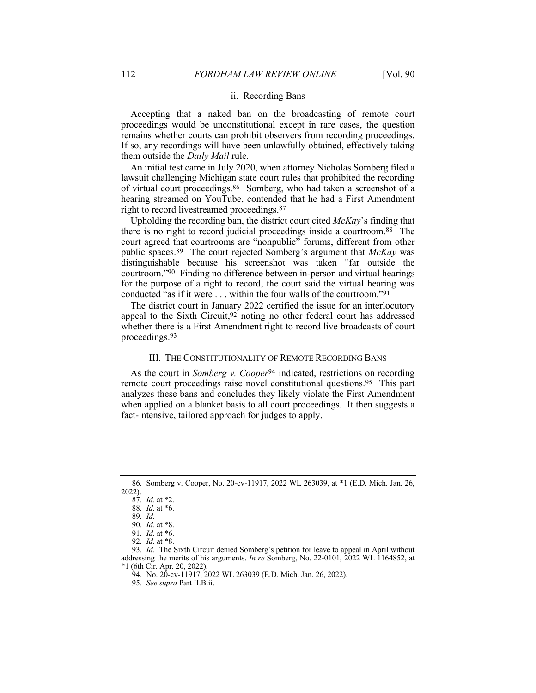## ii. Recording Bans

Accepting that a naked ban on the broadcasting of remote court proceedings would be unconstitutional except in rare cases, the question remains whether courts can prohibit observers from recording proceedings. If so, any recordings will have been unlawfully obtained, effectively taking them outside the *Daily Mail* rule.

An initial test came in July 2020, when attorney Nicholas Somberg filed a lawsuit challenging Michigan state court rules that prohibited the recording of virtual court proceedings.86 Somberg, who had taken a screenshot of a hearing streamed on YouTube, contended that he had a First Amendment right to record livestreamed proceedings.87

Upholding the recording ban, the district court cited *McKay*'s finding that there is no right to record judicial proceedings inside a courtroom.88 The court agreed that courtrooms are "nonpublic" forums, different from other public spaces.89 The court rejected Somberg's argument that *McKay* was distinguishable because his screenshot was taken "far outside the courtroom."90 Finding no difference between in-person and virtual hearings for the purpose of a right to record, the court said the virtual hearing was conducted "as if it were . . . within the four walls of the courtroom."91

The district court in January 2022 certified the issue for an interlocutory appeal to the Sixth Circuit,  $92$  noting no other federal court has addressed whether there is a First Amendment right to record live broadcasts of court proceedings.93

#### III. THE CONSTITUTIONALITY OF REMOTE RECORDING BANS

As the court in *Somberg v. Cooper*94 indicated, restrictions on recording remote court proceedings raise novel constitutional questions.95 This part analyzes these bans and concludes they likely violate the First Amendment when applied on a blanket basis to all court proceedings. It then suggests a fact-intensive, tailored approach for judges to apply.

<sup>86.</sup> Somberg v. Cooper, No. 20-cv-11917, 2022 WL 263039, at \*1 (E.D. Mich. Jan. 26, 2022).

<sup>87</sup>*. Id.* at \*2.

<sup>88</sup>*. Id.* at \*6.

<sup>89</sup>*. Id.*

<sup>90</sup>*. Id.* at \*8.

<sup>91</sup>*. Id.* at \*6.

<sup>92</sup>*. Id.* at \*8.

<sup>93</sup>*. Id.* The Sixth Circuit denied Somberg's petition for leave to appeal in April without addressing the merits of his arguments. *In re* Somberg, No. 22-0101, 2022 WL 1164852, at \*1 (6th Cir. Apr. 20, 2022).

<sup>94</sup>*.* No. 20-cv-11917, 2022 WL 263039 (E.D. Mich. Jan. 26, 2022).

<sup>95</sup>*. See supra* Part II.B.ii.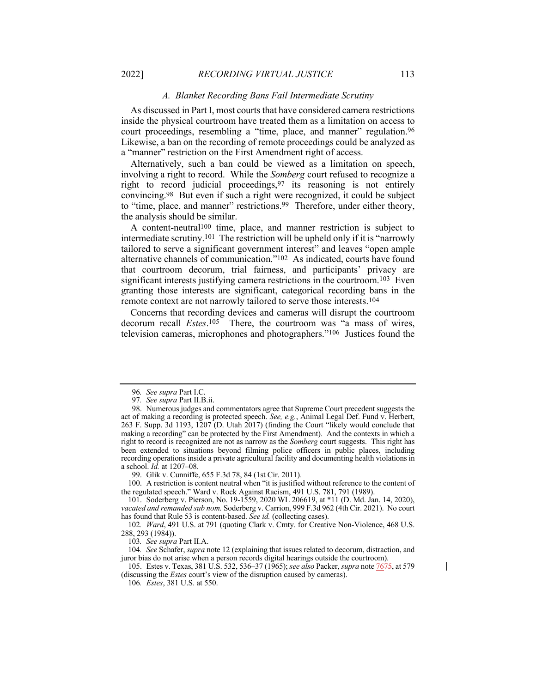#### *A. Blanket Recording Bans Fail Intermediate Scrutiny*

As discussed in Part I, most courts that have considered camera restrictions inside the physical courtroom have treated them as a limitation on access to court proceedings, resembling a "time, place, and manner" regulation.96 Likewise, a ban on the recording of remote proceedings could be analyzed as a "manner" restriction on the First Amendment right of access.

Alternatively, such a ban could be viewed as a limitation on speech, involving a right to record. While the *Somberg* court refused to recognize a right to record judicial proceedings,97 its reasoning is not entirely convincing.98 But even if such a right were recognized, it could be subject to "time, place, and manner" restrictions.<sup>99</sup> Therefore, under either theory, the analysis should be similar.

A content-neutral100 time, place, and manner restriction is subject to intermediate scrutiny.101 The restriction will be upheld only if it is "narrowly tailored to serve a significant government interest" and leaves "open ample alternative channels of communication."102 As indicated, courts have found that courtroom decorum, trial fairness, and participants' privacy are significant interests justifying camera restrictions in the courtroom.<sup>103</sup> Even granting those interests are significant, categorical recording bans in the remote context are not narrowly tailored to serve those interests.104

Concerns that recording devices and cameras will disrupt the courtroom decorum recall *Estes*.105 There, the courtroom was "a mass of wires, television cameras, microphones and photographers."106 Justices found the

99. Glik v. Cunniffe, 655 F.3d 78, 84 (1st Cir. 2011).

100. A restriction is content neutral when "it is justified without reference to the content of the regulated speech." Ward v. Rock Against Racism, 491 U.S. 781, 791 (1989).

101. Soderberg v. Pierson, No. 19-1559, 2020 WL 206619, at \*11 (D. Md. Jan. 14, 2020), *vacated and remanded sub nom.* Soderberg v. Carrion, 999 F.3d 962 (4th Cir. 2021). No court has found that Rule 53 is content-based. *See id.* (collecting cases).

102*. Ward*, 491 U.S. at 791 (quoting Clark v. Cmty. for Creative Non-Violence, 468 U.S. 288, 293 (1984)).

103*. See supra* Part II.A.

104*. See* Schafer, *supra* note 12 (explaining that issues related to decorum, distraction, and juror bias do not arise when a person records digital hearings outside the courtroom).

105. Estes v. Texas, 381 U.S. 532, 536–37 (1965); *see also* Packer, *supra* note 7675, at 579 (discussing the *Estes* court's view of the disruption caused by cameras).

106*. Estes*, 381 U.S. at 550.

 $\mathsf{l}$ 

<sup>96</sup>*. See supra* Part I.C.

<sup>97</sup>*. See supra* Part II.B.ii.

<sup>98.</sup> Numerous judges and commentators agree that Supreme Court precedent suggests the act of making a recording is protected speech. *See, e.g.*, Animal Legal Def. Fund v. Herbert, 263 F. Supp. 3d 1193,  $1207$  (D. Utah 2017) (finding the Court "likely would conclude that making a recording" can be protected by the First Amendment). And the contexts in which a right to record is recognized are not as narrow as the *Somberg* court suggests. This right has been extended to situations beyond filming police officers in public places, including recording operations inside a private agricultural facility and documenting health violations in a school. *Id.* at 1207–08.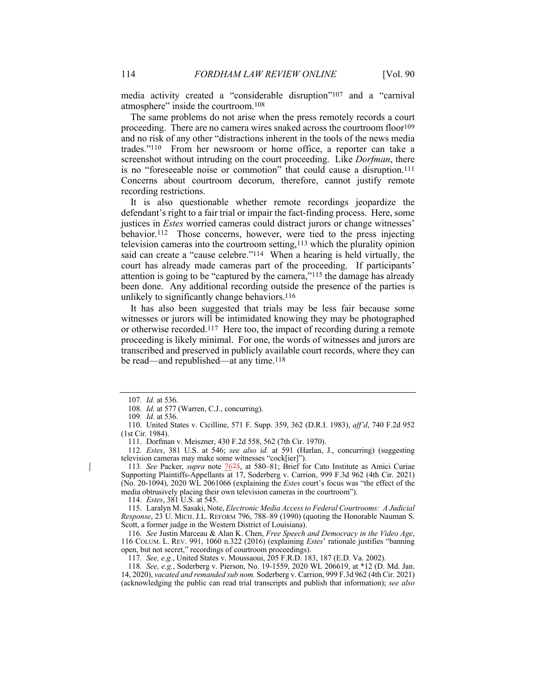media activity created a "considerable disruption"107 and a "carnival atmosphere" inside the courtroom.108

The same problems do not arise when the press remotely records a court proceeding. There are no camera wires snaked across the courtroom floor<sup>109</sup> and no risk of any other "distractions inherent in the tools of the news media trades."110 From her newsroom or home office, a reporter can take a screenshot without intruding on the court proceeding. Like *Dorfman*, there is no "foreseeable noise or commotion" that could cause a disruption.111 Concerns about courtroom decorum, therefore, cannot justify remote recording restrictions.

It is also questionable whether remote recordings jeopardize the defendant's right to a fair trial or impair the fact-finding process. Here, some justices in *Estes* worried cameras could distract jurors or change witnesses' behavior.112 Those concerns, however, were tied to the press injecting television cameras into the courtroom setting, $113$  which the plurality opinion said can create a "cause celebre."114 When a hearing is held virtually, the court has already made cameras part of the proceeding. If participants' attention is going to be "captured by the camera,"<sup>115</sup> the damage has already been done. Any additional recording outside the presence of the parties is unlikely to significantly change behaviors.<sup>116</sup>

It has also been suggested that trials may be less fair because some witnesses or jurors will be intimidated knowing they may be photographed or otherwise recorded.117 Here too, the impact of recording during a remote proceeding is likely minimal. For one, the words of witnesses and jurors are transcribed and preserved in publicly available court records, where they can be read—and republished—at any time.118

111. Dorfman v. Meiszner, 430 F.2d 558, 562 (7th Cir. 1970).

112*. Estes*, 381 U.S. at 546; *see also id.* at 591 (Harlan, J., concurring) (suggesting television cameras may make some witnesses "cock[ier]").

113*. See* Packer, *supra* note 7675, at 580–81; Brief for Cato Institute as Amici Curiae Supporting Plaintiffs-Appellants at 17, Soderberg v. Carrion, 999 F.3d 962 (4th Cir. 2021) (No. 20-1094), 2020 WL 2061066 (explaining the *Estes* court's focus was "the effect of the media obtrusively placing their own television cameras in the courtroom").

114*. Estes*, 381 U.S. at 545.

115. Laralyn M. Sasaki, Note, *Electronic Media Access to Federal Courtrooms: A Judicial Response*, 23 U. MICH. J.L. REFORM 796, 788–89 (1990) (quoting the Honorable Nauman S. Scott, a former judge in the Western District of Louisiana).

116*. See* Justin Marceau & Alan K. Chen, *Free Speech and Democracy in the Video Age*, 116 COLUM. L. REV. 991, 1060 n.322 (2016) (explaining *Estes*' rationale justifies "banning open, but not secret," recordings of courtroom proceedings).

117*. See, e.g.*, United States v. Moussaoui, 205 F.R.D. 183, 187 (E.D. Va. 2002).

118*. See, e.g.*, Soderberg v. Pierson, No. 19-1559, 2020 WL 206619, at \*12 (D. Md. Jan. 14, 2020), *vacated and remanded sub nom.* Soderberg v. Carrion, 999 F.3d 962 (4th Cir. 2021) (acknowledging the public can read trial transcripts and publish that information); *see also*

<sup>107</sup>*. Id.* at 536.

<sup>108</sup>*. Id.* at 577 (Warren, C.J., concurring).

<sup>109</sup>*. Id.* at 536.

<sup>110.</sup> United States v. Cicilline, 571 F. Supp. 359, 362 (D.R.I. 1983), *aff'd*, 740 F.2d 952 (1st Cir. 1984).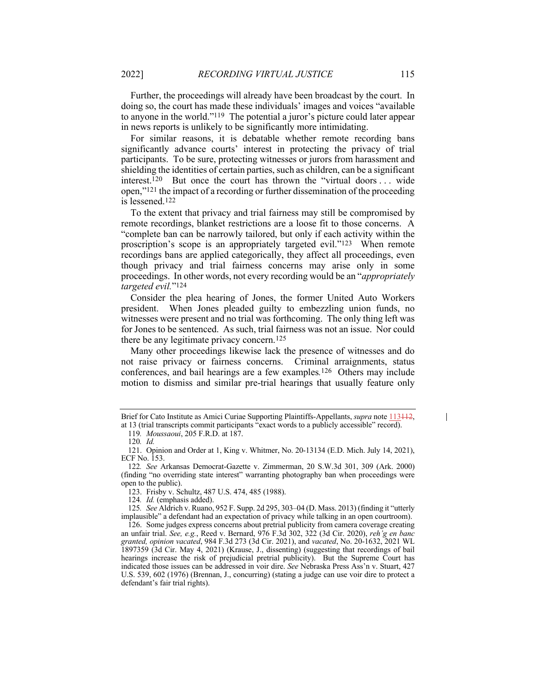Further, the proceedings will already have been broadcast by the court. In doing so, the court has made these individuals' images and voices "available to anyone in the world."119 The potential a juror's picture could later appear in news reports is unlikely to be significantly more intimidating.

For similar reasons, it is debatable whether remote recording bans significantly advance courts' interest in protecting the privacy of trial participants. To be sure, protecting witnesses or jurors from harassment and shielding the identities of certain parties, such as children, can be a significant interest.120 But once the court has thrown the "virtual doors . . . wide open,"121 the impact of a recording or further dissemination of the proceeding is lessened.122

To the extent that privacy and trial fairness may still be compromised by remote recordings, blanket restrictions are a loose fit to those concerns. A "complete ban can be narrowly tailored, but only if each activity within the proscription's scope is an appropriately targeted evil."123 When remote recordings bans are applied categorically, they affect all proceedings, even though privacy and trial fairness concerns may arise only in some proceedings. In other words, not every recording would be an "*appropriately targeted evil.*"124

Consider the plea hearing of Jones, the former United Auto Workers president. When Jones pleaded guilty to embezzling union funds, no witnesses were present and no trial was forthcoming. The only thing left was for Jones to be sentenced. As such, trial fairness was not an issue. Nor could there be any legitimate privacy concern.125

Many other proceedings likewise lack the presence of witnesses and do not raise privacy or fairness concerns. Criminal arraignments, status conferences, and bail hearings are a few examples*.*126Others may include motion to dismiss and similar pre-trial hearings that usually feature only

123. Frisby v. Schultz, 487 U.S. 474, 485 (1988).

Brief for Cato Institute as Amici Curiae Supporting Plaintiffs-Appellants, *supra* note 113412,

at 13 (trial transcripts commit participants "exact words to a publicly accessible" record).

<sup>119</sup>*. Moussaoui*, 205 F.R.D. at 187.

<sup>120</sup>*. Id.*

<sup>121.</sup> Opinion and Order at 1, King v. Whitmer, No. 20-13134 (E.D. Mich. July 14, 2021), ECF No. 153.

<sup>122</sup>*. See* Arkansas Democrat-Gazette v. Zimmerman, 20 S.W.3d 301, 309 (Ark. 2000) (finding "no overriding state interest" warranting photography ban when proceedings were open to the public).

<sup>124</sup>*. Id.* (emphasis added).

<sup>125</sup>*. See* Aldrich v. Ruano, 952 F. Supp. 2d 295, 303–04 (D. Mass. 2013) (finding it "utterly implausible" a defendant had an expectation of privacy while talking in an open courtroom).

<sup>126.</sup> Some judges express concerns about pretrial publicity from camera coverage creating an unfair trial. *See, e.g.*, Reed v. Bernard, 976 F.3d 302, 322 (3d Cir. 2020), *reh'g en banc granted, opinion vacated*, 984 F.3d 273 (3d Cir. 2021), and *vacated*, No. 20-1632, 2021 WL 1897359 (3d Cir. May 4, 2021) (Krause, J., dissenting) (suggesting that recordings of bail hearings increase the risk of prejudicial pretrial publicity). But the Supreme Court has indicated those issues can be addressed in voir dire. *See* Nebraska Press Ass'n v. Stuart, 427 U.S. 539, 602 (1976) (Brennan, J., concurring) (stating a judge can use voir dire to protect a defendant's fair trial rights).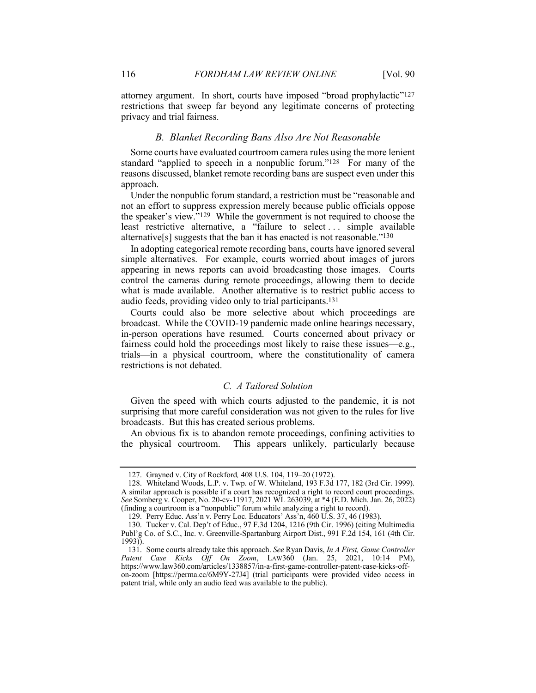attorney argument. In short, courts have imposed "broad prophylactic"<sup>127</sup> restrictions that sweep far beyond any legitimate concerns of protecting privacy and trial fairness.

## *B. Blanket Recording Bans Also Are Not Reasonable*

Some courts have evaluated courtroom camera rules using the more lenient standard "applied to speech in a nonpublic forum."128 For many of the reasons discussed, blanket remote recording bans are suspect even under this approach.

Under the nonpublic forum standard, a restriction must be "reasonable and not an effort to suppress expression merely because public officials oppose the speaker's view."129 While the government is not required to choose the least restrictive alternative, a "failure to select... simple available alternative<sup>[s]</sup> suggests that the ban it has enacted is not reasonable.<sup> $130$ </sup>

In adopting categorical remote recording bans, courts have ignored several simple alternatives. For example, courts worried about images of jurors appearing in news reports can avoid broadcasting those images. Courts control the cameras during remote proceedings, allowing them to decide what is made available. Another alternative is to restrict public access to audio feeds, providing video only to trial participants.131

Courts could also be more selective about which proceedings are broadcast. While the COVID-19 pandemic made online hearings necessary, in-person operations have resumed. Courts concerned about privacy or fairness could hold the proceedings most likely to raise these issues—e.g., trials—in a physical courtroom, where the constitutionality of camera restrictions is not debated.

## *C. A Tailored Solution*

Given the speed with which courts adjusted to the pandemic, it is not surprising that more careful consideration was not given to the rules for live broadcasts. But this has created serious problems.

An obvious fix is to abandon remote proceedings, confining activities to the physical courtroom. This appears unlikely, particularly because

<sup>127.</sup> Grayned v. City of Rockford*,* 408 U.S. 104, 119–20 (1972).

<sup>128.</sup> Whiteland Woods, L.P. v. Twp. of W. Whiteland, 193 F.3d 177, 182 (3rd Cir. 1999). A similar approach is possible if a court has recognized a right to record court proceedings. *See* Somberg v. Cooper, No. 20-cv-11917, 2021 WL 263039, at \*4 (E.D. Mich. Jan. 26, 2022) (finding a courtroom is a "nonpublic" forum while analyzing a right to record).

<sup>129.</sup> Perry Educ. Ass'n v. Perry Loc. Educators' Ass'n, 460 U.S. 37, 46 (1983).

<sup>130.</sup> Tucker v. Cal. Dep't of Educ., 97 F.3d 1204, 1216 (9th Cir. 1996) (citing Multimedia Publ'g Co. of S.C., Inc. v. Greenville-Spartanburg Airport Dist., 991 F.2d 154, 161 (4th Cir. 1993)).

<sup>131.</sup> Some courts already take this approach. *See* Ryan Davis, *In A First, Game Controller Patent Case Kicks Off On Zoom*, LAW360 (Jan. 25, 2021, 10:14 PM), https://www.law360.com/articles/1338857/in-a-first-game-controller-patent-case-kicks-offon-zoom [https://perma.cc/6M9Y-27J4] (trial participants were provided video access in patent trial, while only an audio feed was available to the public).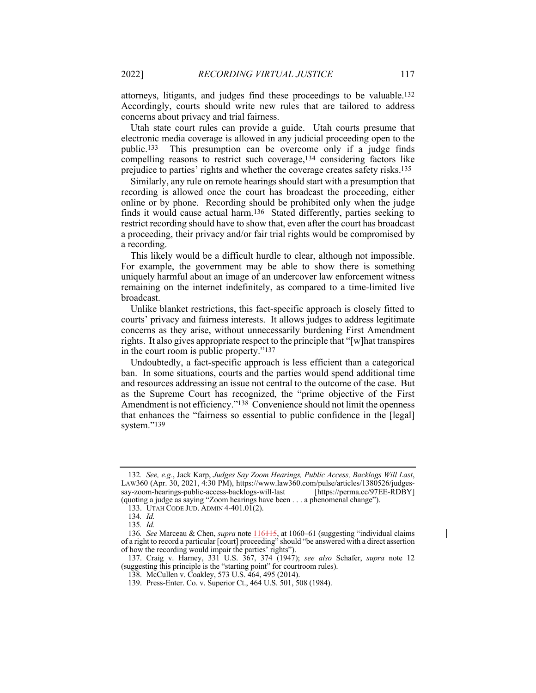attorneys, litigants, and judges find these proceedings to be valuable.132 Accordingly, courts should write new rules that are tailored to address concerns about privacy and trial fairness.

Utah state court rules can provide a guide. Utah courts presume that electronic media coverage is allowed in any judicial proceeding open to the public.133 This presumption can be overcome only if a judge finds compelling reasons to restrict such coverage,134 considering factors like prejudice to parties' rights and whether the coverage creates safety risks.135

Similarly, any rule on remote hearings should start with a presumption that recording is allowed once the court has broadcast the proceeding, either online or by phone. Recording should be prohibited only when the judge finds it would cause actual harm.<sup>136</sup> Stated differently, parties seeking to restrict recording should have to show that, even after the court has broadcast a proceeding, their privacy and/or fair trial rights would be compromised by a recording.

This likely would be a difficult hurdle to clear, although not impossible. For example, the government may be able to show there is something uniquely harmful about an image of an undercover law enforcement witness remaining on the internet indefinitely, as compared to a time-limited live broadcast.

Unlike blanket restrictions, this fact-specific approach is closely fitted to courts' privacy and fairness interests. It allows judges to address legitimate concerns as they arise, without unnecessarily burdening First Amendment rights. It also gives appropriate respect to the principle that "[w]hat transpires in the court room is public property."137

Undoubtedly, a fact-specific approach is less efficient than a categorical ban. In some situations, courts and the parties would spend additional time and resources addressing an issue not central to the outcome of the case. But as the Supreme Court has recognized, the "prime objective of the First Amendment is not efficiency."<sup>138</sup> Convenience should not limit the openness that enhances the "fairness so essential to public confidence in the [legal] system."139

<sup>132</sup>*. See, e.g.*, Jack Karp, *Judges Say Zoom Hearings, Public Access, Backlogs Will Last*, LAW360 (Apr. 30, 2021, 4:30 PM), https://www.law360.com/pulse/articles/1380526/judgessay-zoom-hearings-public-access-backlogs-will-last [https://perma.cc/97EE-RDBY] (quoting a judge as saying "Zoom hearings have been . . . a phenomenal change").

<sup>133.</sup> UTAH CODE JUD. ADMIN 4-401.01(2).

<sup>134</sup>*. Id.*

<sup>135</sup>*. Id.*

<sup>136</sup>*. See* Marceau & Chen, *supra* note 116115, at 1060–61 (suggesting "individual claims of a right to record a particular [court] proceeding" should "be answered with a direct assertion of how the recording would impair the parties' rights").

<sup>137.</sup> Craig v. Harney, 331 U.S. 367, 374 (1947); *see also* Schafer, *supra* note 12 (suggesting this principle is the "starting point" for courtroom rules).

<sup>138.</sup> McCullen v. Coakley, 573 U.S. 464, 495 (2014).

<sup>139.</sup> Press-Enter. Co. v. Superior Ct., 464 U.S. 501, 508 (1984).